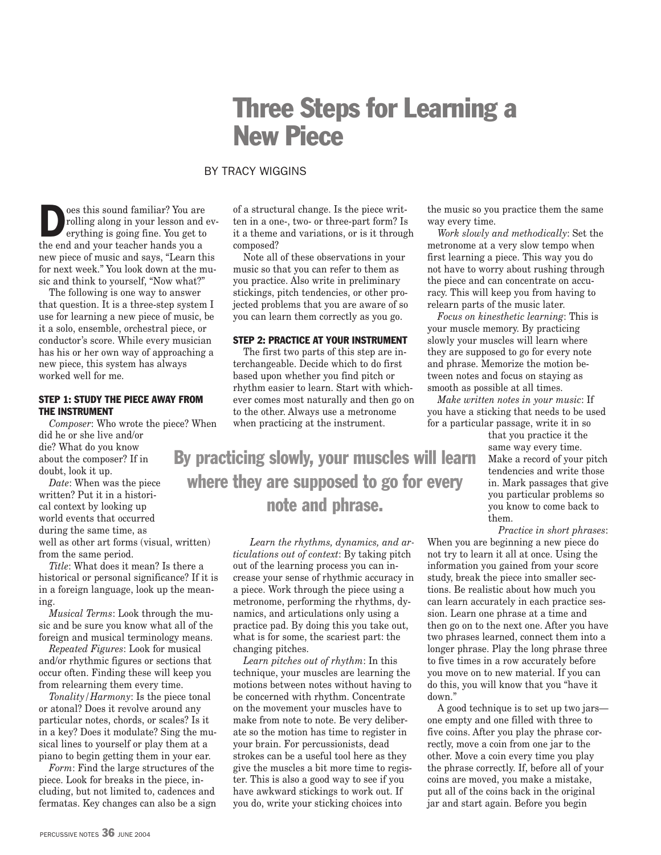# Three Steps for Learning a New Piece

# BY TRACY WIGGINS

**Example 3** of this sound familiar? You are rolling along in your lesson and erything is going fine. You get to rolling along in your lesson and evthe end and your teacher hands you a new piece of music and says, "Learn this for next week." You look down at the music and think to yourself, "Now what?"

The following is one way to answer that question. It is a three-step system I use for learning a new piece of music, be it a solo, ensemble, orchestral piece, or conductor's score. While every musician has his or her own way of approaching a new piece, this system has always worked well for me.

#### STEP 1: STUDY THE PIECE AWAY FROM THE INSTRUMENT

*Composer*: Who wrote the piece? When did he or she live and/or die? What do you know about the composer? If in doubt, look it up.

*Date*: When was the piece written? Put it in a historical context by looking up world events that occurred during the same time, as well as other art forms (visual, written) from the same period.

*Title*: What does it mean? Is there a historical or personal significance? If it is in a foreign language, look up the meaning.

*Musical Terms*: Look through the music and be sure you know what all of the foreign and musical terminology means.

*Repeated Figures*: Look for musical and/or rhythmic figures or sections that occur often. Finding these will keep you from relearning them every time.

*Tonality/Harmony*: Is the piece tonal or atonal? Does it revolve around any particular notes, chords, or scales? Is it in a key? Does it modulate? Sing the musical lines to yourself or play them at a piano to begin getting them in your ear.

*Form*: Find the large structures of the piece. Look for breaks in the piece, including, but not limited to, cadences and fermatas. Key changes can also be a sign of a structural change. Is the piece written in a one-, two- or three-part form? Is it a theme and variations, or is it through composed?

Note all of these observations in your music so that you can refer to them as you practice. Also write in preliminary stickings, pitch tendencies, or other projected problems that you are aware of so you can learn them correctly as you go.

#### STEP 2: PRACTICE AT YOUR INSTRUMENT

The first two parts of this step are interchangeable. Decide which to do first based upon whether you find pitch or rhythm easier to learn. Start with whichever comes most naturally and then go on to the other. Always use a metronome when practicing at the instrument.

By practicing slowly, your muscles will learn where they are supposed to go for every note and phrase.

> *Learn the rhythms, dynamics, and articulations out of context*: By taking pitch out of the learning process you can increase your sense of rhythmic accuracy in a piece. Work through the piece using a metronome, performing the rhythms, dynamics, and articulations only using a practice pad. By doing this you take out, what is for some, the scariest part: the changing pitches.

*Learn pitches out of rhythm*: In this technique, your muscles are learning the motions between notes without having to be concerned with rhythm. Concentrate on the movement your muscles have to make from note to note. Be very deliberate so the motion has time to register in your brain. For percussionists, dead strokes can be a useful tool here as they give the muscles a bit more time to register. This is also a good way to see if you have awkward stickings to work out. If you do, write your sticking choices into

the music so you practice them the same way every time.

*Work slowly and methodically*: Set the metronome at a very slow tempo when first learning a piece. This way you do not have to worry about rushing through the piece and can concentrate on accuracy. This will keep you from having to relearn parts of the music later.

*Focus on kinesthetic learning*: This is your muscle memory. By practicing slowly your muscles will learn where they are supposed to go for every note and phrase. Memorize the motion between notes and focus on staying as smooth as possible at all times.

*Make written notes in your music*: If you have a sticking that needs to be used for a particular passage, write it in so

> that you practice it the same way every time. Make a record of your pitch tendencies and write those in. Mark passages that give you particular problems so you know to come back to them.

*Practice in short phrases*:

When you are beginning a new piece do not try to learn it all at once. Using the information you gained from your score study, break the piece into smaller sections. Be realistic about how much you can learn accurately in each practice session. Learn one phrase at a time and then go on to the next one. After you have two phrases learned, connect them into a longer phrase. Play the long phrase three to five times in a row accurately before you move on to new material. If you can do this, you will know that you "have it down."

A good technique is to set up two jars one empty and one filled with three to five coins. After you play the phrase correctly, move a coin from one jar to the other. Move a coin every time you play the phrase correctly. If, before all of your coins are moved, you make a mistake, put all of the coins back in the original jar and start again. Before you begin